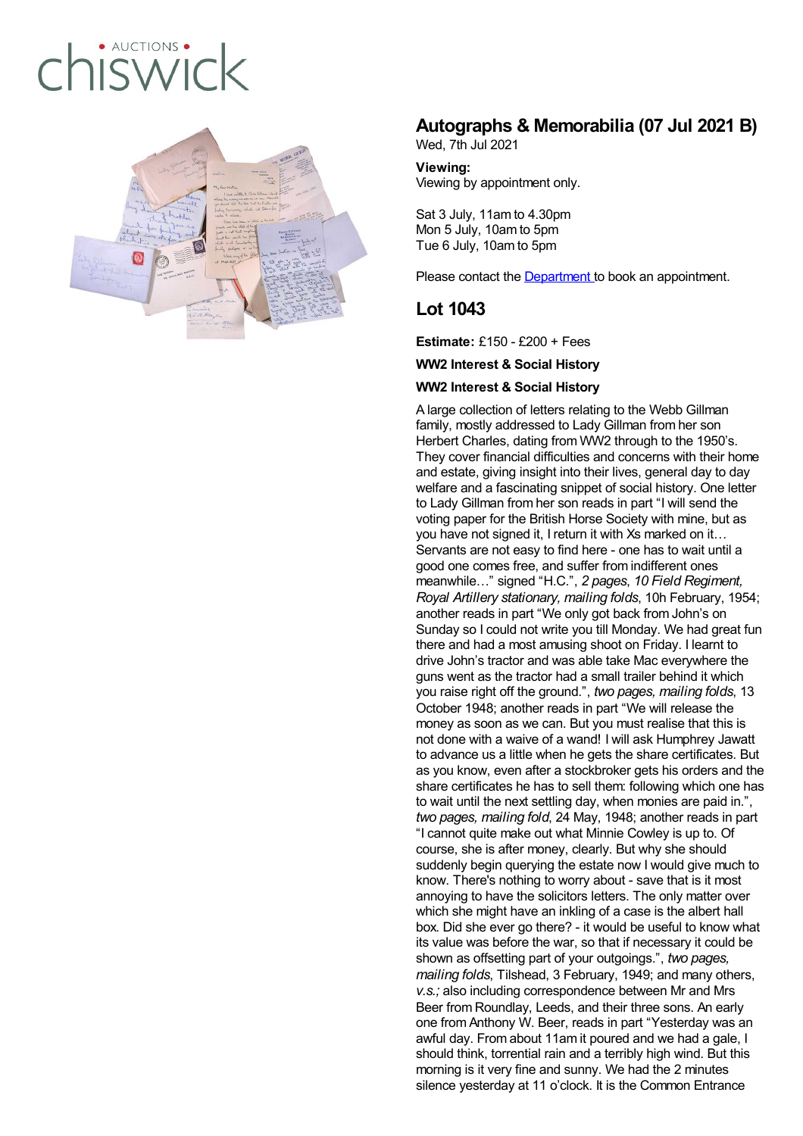## ALICTIONS  $I(X)$



## **Autographs & Memorabilia (07 Jul 2021 B)**

Wed, 7th Jul 2021

**Viewing:** Viewing by appointment only.

Sat 3 July, 11am to 4.30pm Mon 5 July, 10am to 5pm Tue 6 July, 10am to 5pm

Please contact the [Department](mailto:valentina.borghi@chiswickauctions.co.uk ) to book an appointment.

## **Lot 1043**

**Estimate:** £150 - £200 + Fees

**WW2 Interest & Social History**

## **WW2 Interest & Social History**

A large collection of letters relating to the Webb Gillman family, mostly addressed to Lady Gillman from her son Herbert Charles, dating from WW2 through to the 1950's. They cover financial difficulties and concerns with their home and estate, giving insight into their lives, general day to day welfare and a fascinating snippet of social history. One letter to Lady Gillman from her son reads in part "I will send the voting paper for the British Horse Society with mine, but as you have not signed it, I return it with Xs marked on it… Servants are not easy to find here - one has to wait until a good one comes free, and suffer from indifferent ones meanwhile…" signed "H.C.", *2 pages*, *10 Field Regiment, Royal Artillery stationary, mailing folds*, 10h February, 1954; another reads in part "We only got back from John's on Sunday so I could not write you till Monday. We had great fun there and had a most amusing shoot on Friday. I learnt to drive John's tractor and was able take Mac everywhere the guns went as the tractor had a small trailer behind it which you raise right off the ground.", *two pages, mailing folds*, 13 October 1948; another reads in part "We will release the money as soon as we can. But you must realise that this is not done with a waive of a wand! I will ask Humphrey Jawatt to advance us a little when he gets the share certificates. But as you know, even after a stockbroker gets his orders and the share certificates he has to sell them: following which one has to wait until the next settling day, when monies are paid in.", *two pages, mailing fold*, 24 May, 1948; another reads in part "I cannot quite make out what Minnie Cowley is up to. Of course, she is after money, clearly. But why she should suddenly begin querying the estate now I would give much to know. There's nothing to worry about - save that is it most annoying to have the solicitors letters. The only matter over which she might have an inkling of a case is the albert hall box. Did she ever go there? - it would be useful to know what its value was before the war, so that if necessary it could be shown as offsetting part of your outgoings.", *two pages, mailing folds*, Tilshead, 3 February, 1949; and many others, *v.s.;* also including correspondence between Mr and Mrs Beer from Roundlay, Leeds, and their three sons. An early one from Anthony W. Beer, reads in part "Yesterday was an awful day. From about 11am it poured and we had a gale, I should think, torrential rain and a terribly high wind. But this morning is it very fine and sunny. We had the 2 minutes silence yesterday at 11 o'clock. It is the Common Entrance